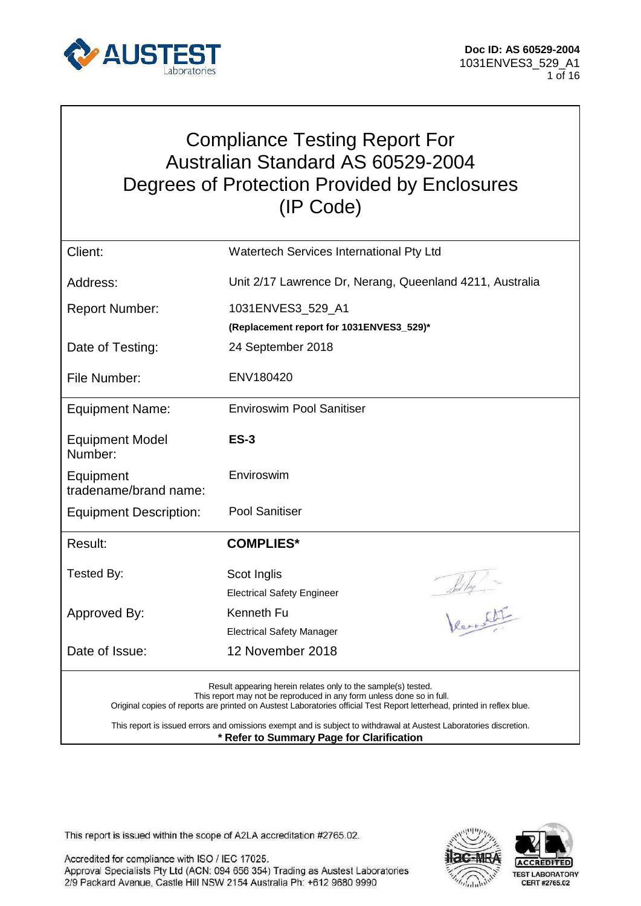

## Compliance Testing Report For Australian Standard AS 60529-2004 Degrees of Protection Provided by Enclosures (IP Code)

| Client:                                                                                                                                                                                                                                                                                                                                                                                 | Watertech Services International Pty Ltd                 |  |
|-----------------------------------------------------------------------------------------------------------------------------------------------------------------------------------------------------------------------------------------------------------------------------------------------------------------------------------------------------------------------------------------|----------------------------------------------------------|--|
| Address:                                                                                                                                                                                                                                                                                                                                                                                | Unit 2/17 Lawrence Dr, Nerang, Queenland 4211, Australia |  |
| <b>Report Number:</b>                                                                                                                                                                                                                                                                                                                                                                   | 1031ENVES3_529_A1                                        |  |
|                                                                                                                                                                                                                                                                                                                                                                                         | (Replacement report for 1031ENVES3_529)*                 |  |
| Date of Testing:                                                                                                                                                                                                                                                                                                                                                                        | 24 September 2018                                        |  |
| File Number:                                                                                                                                                                                                                                                                                                                                                                            | ENV180420                                                |  |
| <b>Equipment Name:</b>                                                                                                                                                                                                                                                                                                                                                                  | <b>Enviroswim Pool Sanitiser</b>                         |  |
| <b>Equipment Model</b><br>Number:                                                                                                                                                                                                                                                                                                                                                       | <b>ES-3</b>                                              |  |
| Equipment<br>tradename/brand name:                                                                                                                                                                                                                                                                                                                                                      | Enviroswim                                               |  |
| <b>Equipment Description:</b>                                                                                                                                                                                                                                                                                                                                                           | Pool Sanitiser                                           |  |
| Result:                                                                                                                                                                                                                                                                                                                                                                                 | <b>COMPLIES*</b>                                         |  |
| Tested By:                                                                                                                                                                                                                                                                                                                                                                              | Scot Inglis<br>Solly -                                   |  |
|                                                                                                                                                                                                                                                                                                                                                                                         | <b>Electrical Safety Engineer</b>                        |  |
| Approved By:                                                                                                                                                                                                                                                                                                                                                                            | Kenneth Fu                                               |  |
|                                                                                                                                                                                                                                                                                                                                                                                         | <b>Electrical Safety Manager</b>                         |  |
| Date of Issue:                                                                                                                                                                                                                                                                                                                                                                          | 12 November 2018                                         |  |
| Result appearing herein relates only to the sample(s) tested.<br>This report may not be reproduced in any form unless done so in full.<br>Original copies of reports are printed on Austest Laboratories official Test Report letterhead, printed in reflex blue.<br>This report is issued errors and omissions exempt and is subject to withdrawal at Austest Laboratories discretion. |                                                          |  |

**\* Refer to Summary Page for Clarification**

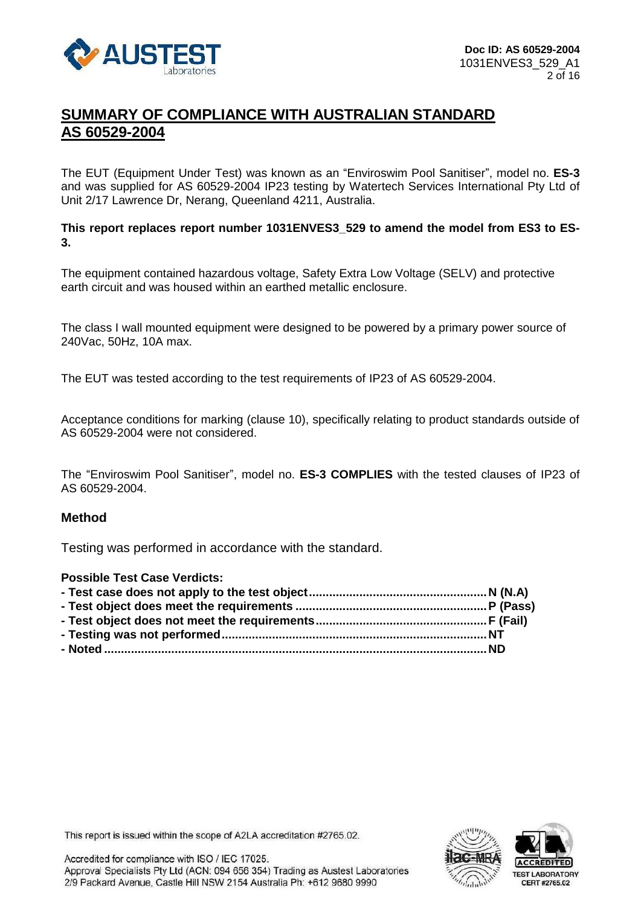

### **SUMMARY OF COMPLIANCE WITH AUSTRALIAN STANDARD AS 60529-2004**

The EUT (Equipment Under Test) was known as an "Enviroswim Pool Sanitiser", model no. **ES-3** and was supplied for AS 60529-2004 IP23 testing by Watertech Services International Pty Ltd of Unit 2/17 Lawrence Dr, Nerang, Queenland 4211, Australia.

**This report replaces report number 1031ENVES3\_529 to amend the model from ES3 to ES-3.**

The equipment contained hazardous voltage, Safety Extra Low Voltage (SELV) and protective earth circuit and was housed within an earthed metallic enclosure.

The class I wall mounted equipment were designed to be powered by a primary power source of 240Vac, 50Hz, 10A max.

The EUT was tested according to the test requirements of IP23 of AS 60529-2004.

Acceptance conditions for marking (clause 10), specifically relating to product standards outside of AS 60529-2004 were not considered.

The "Enviroswim Pool Sanitiser", model no. **ES-3 COMPLIES** with the tested clauses of IP23 of AS 60529-2004.

#### **Method**

Testing was performed in accordance with the standard.

| <b>Possible Test Case Verdicts:</b> |  |
|-------------------------------------|--|
|                                     |  |
|                                     |  |
|                                     |  |
|                                     |  |
|                                     |  |
|                                     |  |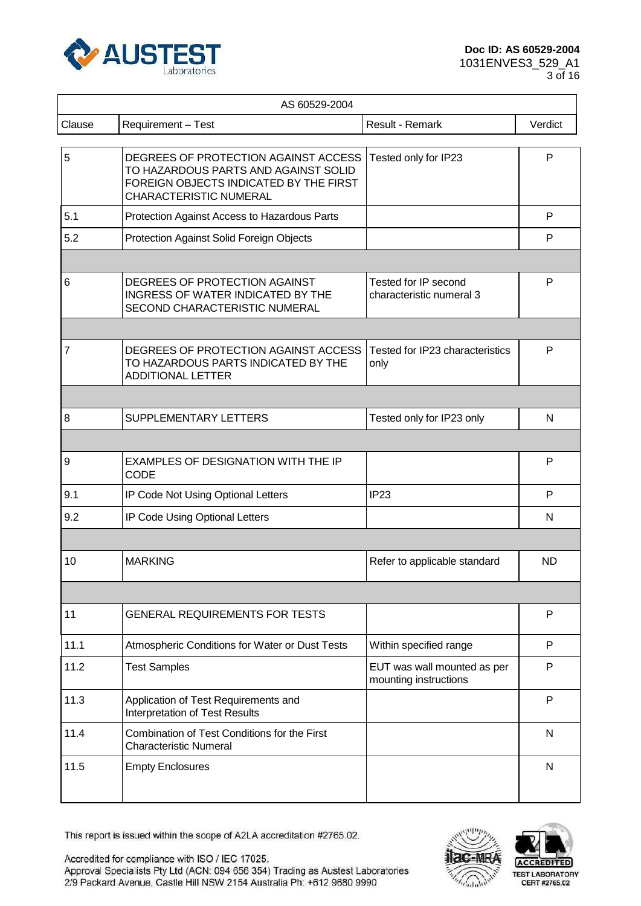

| AS 60529-2004  |                                                                                                                                                         |                                                      |              |  |
|----------------|---------------------------------------------------------------------------------------------------------------------------------------------------------|------------------------------------------------------|--------------|--|
| Clause         | Requirement - Test                                                                                                                                      | Result - Remark                                      | Verdict      |  |
| 5              | DEGREES OF PROTECTION AGAINST ACCESS<br>TO HAZARDOUS PARTS AND AGAINST SOLID<br>FOREIGN OBJECTS INDICATED BY THE FIRST<br><b>CHARACTERISTIC NUMERAL</b> | Tested only for IP23                                 | P            |  |
| 5.1            | Protection Against Access to Hazardous Parts                                                                                                            |                                                      | P            |  |
| 5.2            | Protection Against Solid Foreign Objects                                                                                                                |                                                      | P            |  |
|                |                                                                                                                                                         |                                                      |              |  |
| 6              | DEGREES OF PROTECTION AGAINST<br><b>INGRESS OF WATER INDICATED BY THE</b><br>SECOND CHARACTERISTIC NUMERAL                                              | Tested for IP second<br>characteristic numeral 3     | P            |  |
|                |                                                                                                                                                         |                                                      |              |  |
| $\overline{7}$ | DEGREES OF PROTECTION AGAINST ACCESS<br>TO HAZARDOUS PARTS INDICATED BY THE<br><b>ADDITIONAL LETTER</b>                                                 | Tested for IP23 characteristics<br>only              | P            |  |
|                |                                                                                                                                                         |                                                      |              |  |
| 8              | SUPPLEMENTARY LETTERS                                                                                                                                   | Tested only for IP23 only                            | N            |  |
|                |                                                                                                                                                         |                                                      |              |  |
| 9              | <b>EXAMPLES OF DESIGNATION WITH THE IP</b><br><b>CODE</b>                                                                                               |                                                      | P            |  |
| 9.1            | IP Code Not Using Optional Letters                                                                                                                      | IP <sub>23</sub>                                     | P            |  |
| 9.2            | IP Code Using Optional Letters                                                                                                                          |                                                      | N            |  |
|                |                                                                                                                                                         |                                                      |              |  |
| 10             | <b>MARKING</b>                                                                                                                                          | Refer to applicable standard                         | <b>ND</b>    |  |
|                |                                                                                                                                                         |                                                      |              |  |
| 11             | <b>GENERAL REQUIREMENTS FOR TESTS</b>                                                                                                                   |                                                      | $\mathsf{P}$ |  |
| 11.1           | Atmospheric Conditions for Water or Dust Tests                                                                                                          | Within specified range                               | P            |  |
| 11.2           | <b>Test Samples</b>                                                                                                                                     | EUT was wall mounted as per<br>mounting instructions | P            |  |
| 11.3           | Application of Test Requirements and<br>Interpretation of Test Results                                                                                  |                                                      | $\mathsf{P}$ |  |
| 11.4           | Combination of Test Conditions for the First<br><b>Characteristic Numeral</b>                                                                           |                                                      | N            |  |
| 11.5           | <b>Empty Enclosures</b>                                                                                                                                 |                                                      | N            |  |

This report is issued within the scope of A2LA accreditation #2765.02.





**ACCREDITED** TEST LABORATORY<br>CERT #2765.02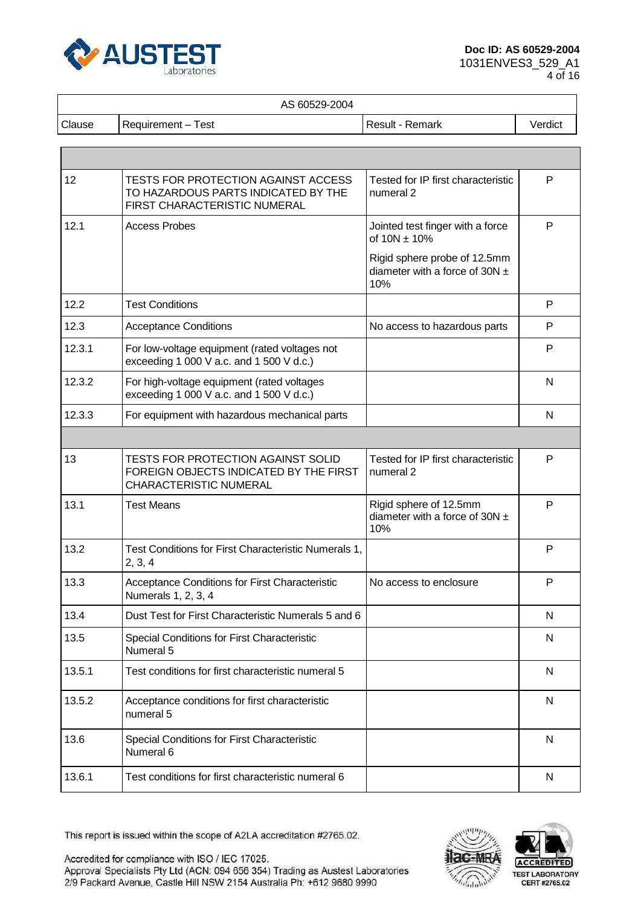

#### AS 60529-2004

Clause Requirement – Test **Result - Result - Remark** Verdict

| 12     | TESTS FOR PROTECTION AGAINST ACCESS<br>TO HAZARDOUS PARTS INDICATED BY THE<br>FIRST CHARACTERISTIC NUMERAL    | Tested for IP first characteristic<br>numeral 2                           | P            |
|--------|---------------------------------------------------------------------------------------------------------------|---------------------------------------------------------------------------|--------------|
| 12.1   | <b>Access Probes</b>                                                                                          | Jointed test finger with a force<br>of $10N \pm 10%$                      | P            |
|        |                                                                                                               | Rigid sphere probe of 12.5mm<br>diameter with a force of 30N $\pm$<br>10% |              |
| 12.2   | <b>Test Conditions</b>                                                                                        |                                                                           | P            |
| 12.3   | <b>Acceptance Conditions</b>                                                                                  | No access to hazardous parts                                              | P            |
| 12.3.1 | For low-voltage equipment (rated voltages not<br>exceeding 1 000 V a.c. and 1 500 V d.c.)                     |                                                                           | P            |
| 12.3.2 | For high-voltage equipment (rated voltages<br>exceeding 1 000 V a.c. and 1 500 V d.c.)                        |                                                                           | N            |
| 12.3.3 | For equipment with hazardous mechanical parts                                                                 |                                                                           | N            |
|        |                                                                                                               |                                                                           |              |
| 13     | <b>TESTS FOR PROTECTION AGAINST SOLID</b><br>FOREIGN OBJECTS INDICATED BY THE FIRST<br>CHARACTERISTIC NUMERAL | Tested for IP first characteristic<br>numeral <sub>2</sub>                | P            |
| 13.1   | <b>Test Means</b>                                                                                             | Rigid sphere of 12.5mm<br>diameter with a force of 30N $\pm$<br>10%       | P            |
| 13.2   | Test Conditions for First Characteristic Numerals 1,<br>2, 3, 4                                               |                                                                           | P            |
| 13.3   | Acceptance Conditions for First Characteristic<br>Numerals 1, 2, 3, 4                                         | No access to enclosure                                                    | P            |
| 13.4   | Dust Test for First Characteristic Numerals 5 and 6                                                           |                                                                           | N            |
| 13.5   | Special Conditions for First Characteristic<br>Numeral 5                                                      |                                                                           | N            |
| 13.5.1 | Test conditions for first characteristic numeral 5                                                            |                                                                           | $\mathsf{N}$ |
| 13.5.2 | Acceptance conditions for first characteristic<br>numeral 5                                                   |                                                                           | N            |
| 13.6   | Special Conditions for First Characteristic<br>Numeral 6                                                      |                                                                           | N            |
| 13.6.1 | Test conditions for first characteristic numeral 6                                                            |                                                                           | N            |

This report is issued within the scope of A2LA accreditation #2765.02.



**ACCREDITED** TEST LABORATORY<br>CERT #2765.02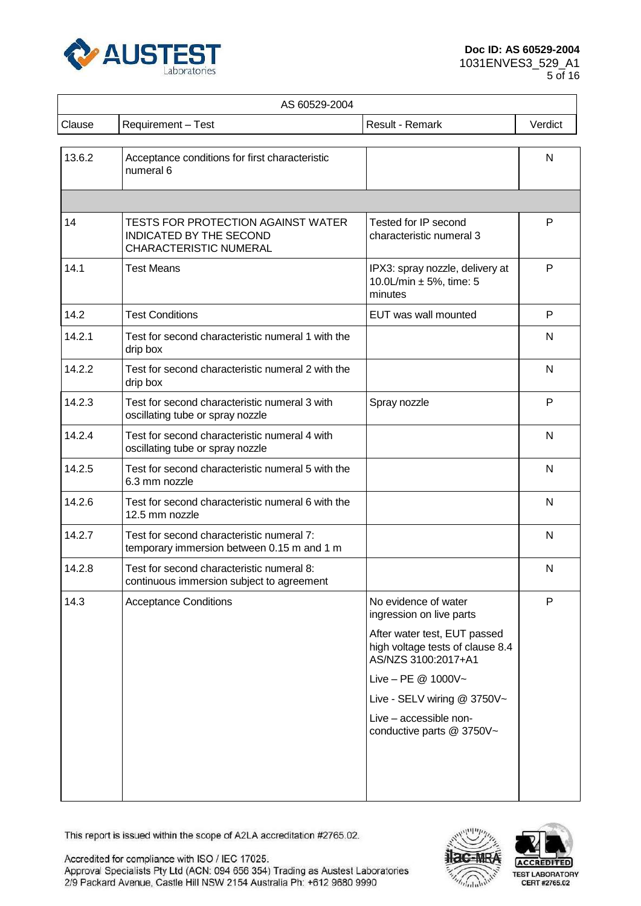

| AS 60529-2004 |                                                                                                       |                                                                                         |              |  |
|---------------|-------------------------------------------------------------------------------------------------------|-----------------------------------------------------------------------------------------|--------------|--|
| Clause        | Requirement - Test                                                                                    | Result - Remark                                                                         | Verdict      |  |
| 13.6.2        | Acceptance conditions for first characteristic<br>numeral 6                                           |                                                                                         | N            |  |
|               |                                                                                                       |                                                                                         |              |  |
| 14            | <b>TESTS FOR PROTECTION AGAINST WATER</b><br>INDICATED BY THE SECOND<br><b>CHARACTERISTIC NUMERAL</b> | Tested for IP second<br>characteristic numeral 3                                        | P            |  |
| 14.1          | <b>Test Means</b>                                                                                     | IPX3: spray nozzle, delivery at<br>10.0L/min $\pm$ 5%, time: 5<br>minutes               | $\mathsf{P}$ |  |
| 14.2          | <b>Test Conditions</b>                                                                                | EUT was wall mounted                                                                    | P            |  |
| 14.2.1        | Test for second characteristic numeral 1 with the<br>drip box                                         |                                                                                         | N            |  |
| 14.2.2        | Test for second characteristic numeral 2 with the<br>drip box                                         |                                                                                         | N            |  |
| 14.2.3        | Test for second characteristic numeral 3 with<br>oscillating tube or spray nozzle                     | Spray nozzle                                                                            | P            |  |
| 14.2.4        | Test for second characteristic numeral 4 with<br>oscillating tube or spray nozzle                     |                                                                                         | N            |  |
| 14.2.5        | Test for second characteristic numeral 5 with the<br>6.3 mm nozzle                                    |                                                                                         | N            |  |
| 14.2.6        | Test for second characteristic numeral 6 with the<br>12.5 mm nozzle                                   |                                                                                         | N            |  |
| 14.2.7        | Test for second characteristic numeral 7:<br>temporary immersion between 0.15 m and 1 m               |                                                                                         | N            |  |
| 14.2.8        | Test for second characteristic numeral 8:<br>continuous immersion subject to agreement                |                                                                                         | N            |  |
| 14.3          | <b>Acceptance Conditions</b>                                                                          | No evidence of water<br>ingression on live parts                                        | P            |  |
|               |                                                                                                       | After water test, EUT passed<br>high voltage tests of clause 8.4<br>AS/NZS 3100:2017+A1 |              |  |
|               |                                                                                                       | Live - PE $@$ 1000V~                                                                    |              |  |
|               |                                                                                                       | Live - SELV wiring @ 3750V~                                                             |              |  |
|               |                                                                                                       | Live - accessible non-<br>conductive parts @ 3750V~                                     |              |  |
|               |                                                                                                       |                                                                                         |              |  |
|               |                                                                                                       |                                                                                         |              |  |

This report is issued within the scope of A2LA accreditation #2765.02.



**ACCREDITED** TEST LABORATORY<br>CERT #2765.02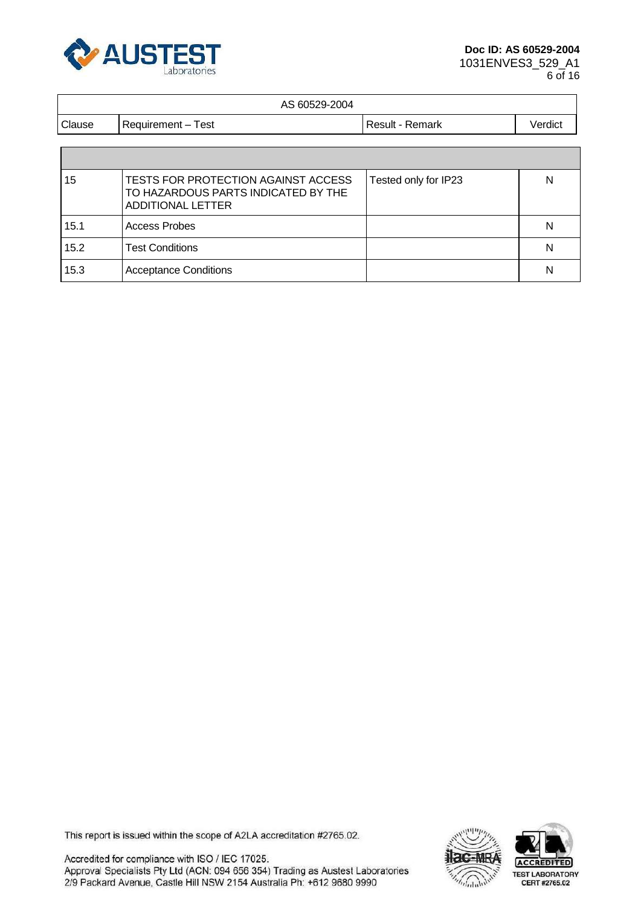

#### AS 60529-2004

|        | .                    |                  |         |
|--------|----------------------|------------------|---------|
| Clause | ⊺est<br>Requirement- | Remark<br>Result | Verdict |
|        |                      |                  |         |

| 15   | TESTS FOR PROTECTION AGAINST ACCESS<br>TO HAZARDOUS PARTS INDICATED BY THE<br><b>ADDITIONAL LETTER</b> | Tested only for IP23 | N |
|------|--------------------------------------------------------------------------------------------------------|----------------------|---|
| 15.1 | <b>Access Probes</b>                                                                                   |                      | N |
| 15.2 | <b>Test Conditions</b>                                                                                 |                      | N |
| 15.3 | <b>Acceptance Conditions</b>                                                                           |                      | N |

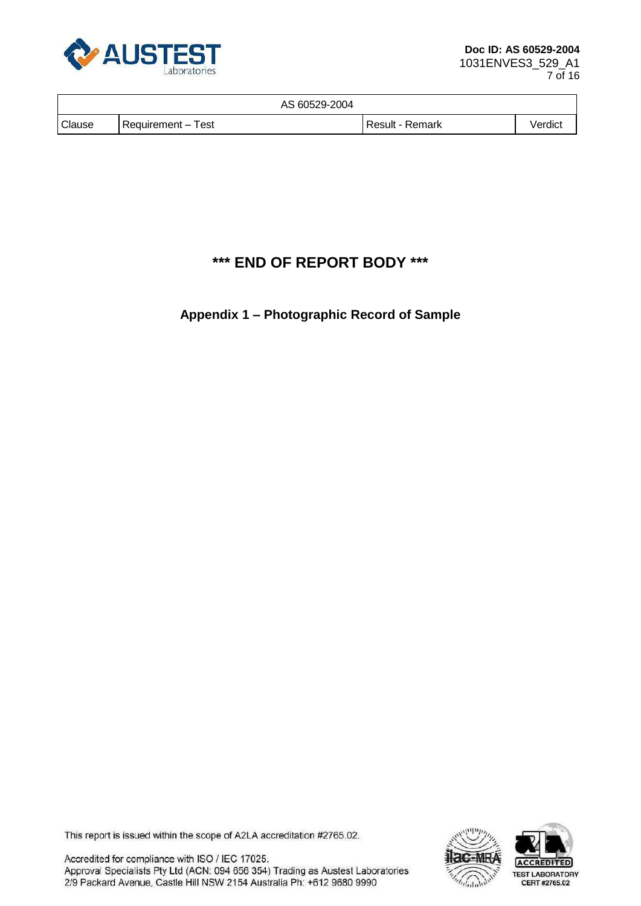

|        | AS 60529-2004      |                 |         |
|--------|--------------------|-----------------|---------|
| Clause | Requirement - Test | Result - Remark | Verdict |

## **\*\*\* END OF REPORT BODY \*\*\***

#### **Appendix 1 – Photographic Record of Sample**

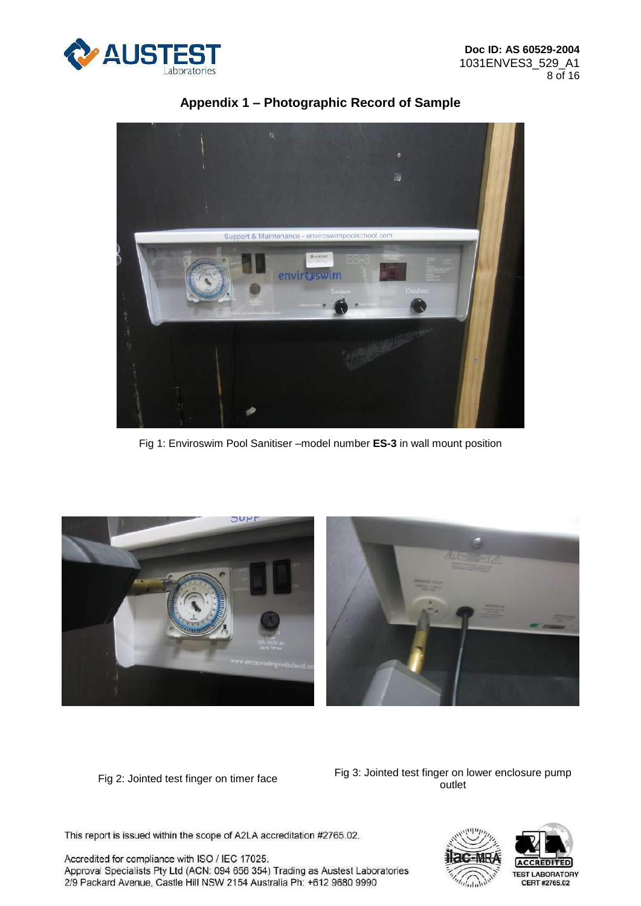



Fig 1: Enviroswim Pool Sanitiser –model number **ES-3** in wall mount position



Fig 2: Jointed test finger on timer face Fig 3: Jointed test finger on lower enclosure pump outlet

This report is issued within the scope of A2LA accreditation #2765.02.

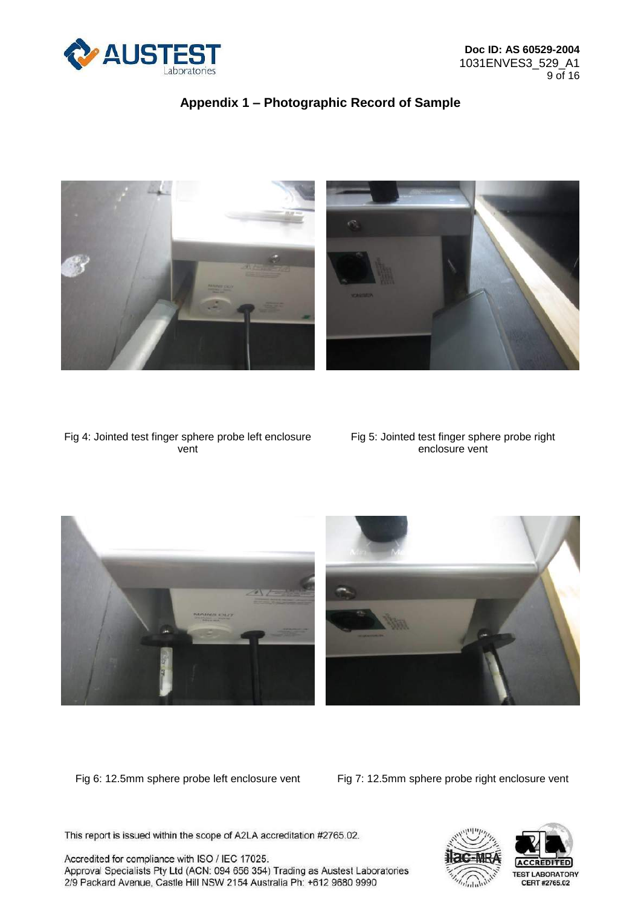



Fig 4: Jointed test finger sphere probe left enclosure vent

Fig 5: Jointed test finger sphere probe right enclosure vent



Fig 6: 12.5mm sphere probe left enclosure vent Fig 7: 12.5mm sphere probe right enclosure vent

This report is issued within the scope of A2LA accreditation #2765.02.

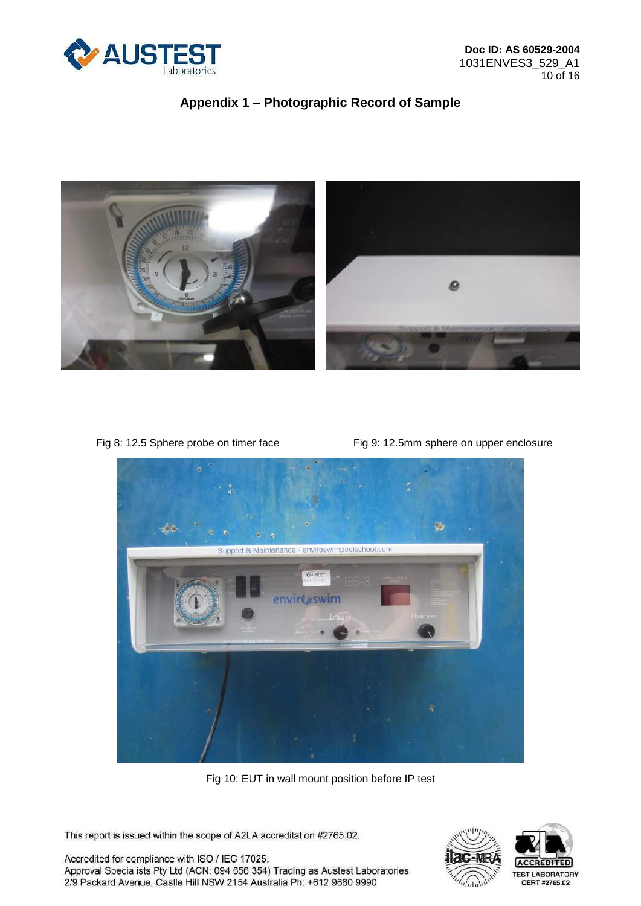



Fig 8: 12.5 Sphere probe on timer face Fig 9: 12.5mm sphere on upper enclosure



Fig 10: EUT in wall mount position before IP test

This report is issued within the scope of A2LA accreditation #2765.02.

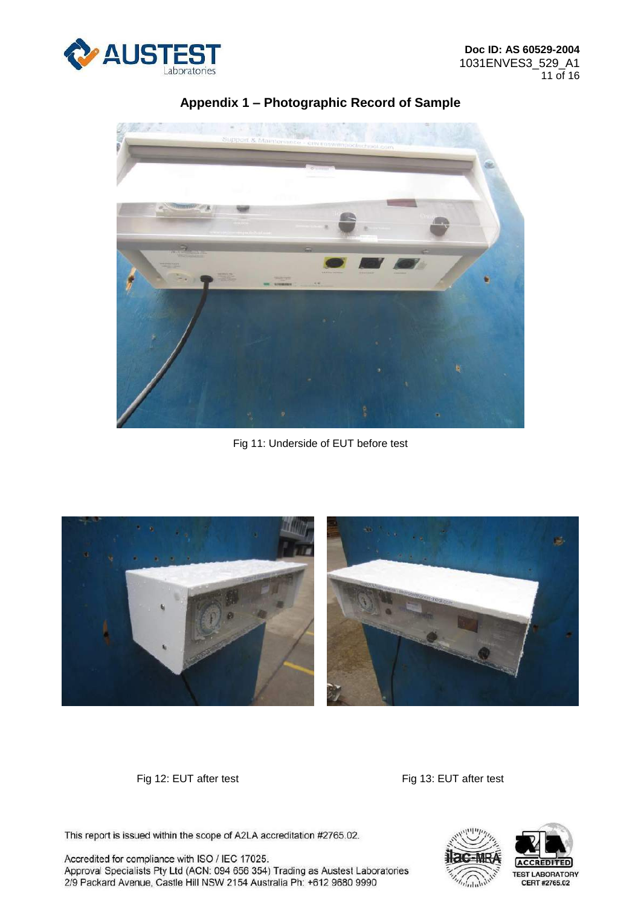



Fig 11: Underside of EUT before test



Fig 12: EUT after test Fig 13: EUT after test

This report is issued within the scope of A2LA accreditation #2765.02.

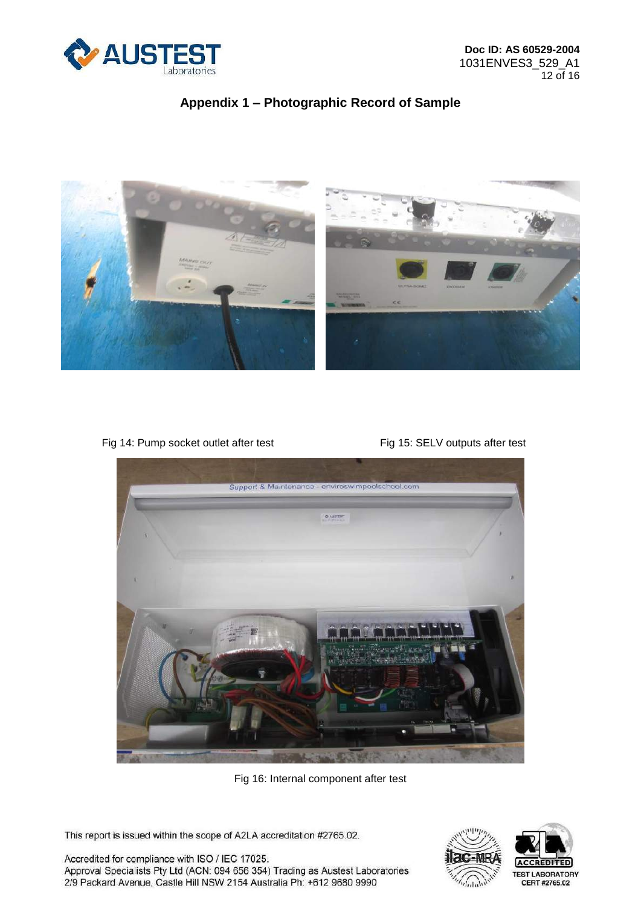



Fig 14: Pump socket outlet after test Fig 15: SELV outputs after test



Fig 16: Internal component after test

This report is issued within the scope of A2LA accreditation #2765.02.

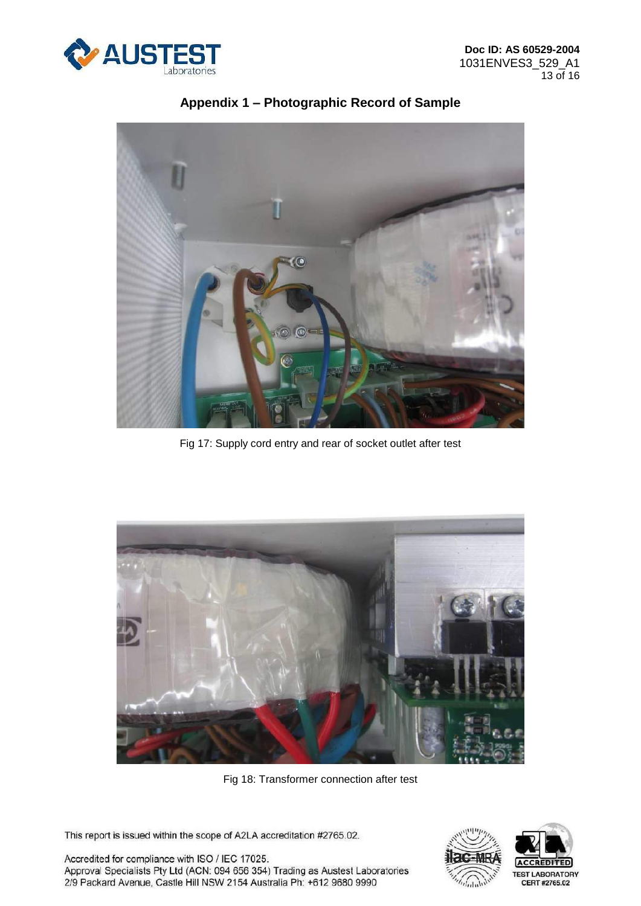



Fig 17: Supply cord entry and rear of socket outlet after test



Fig 18: Transformer connection after test

This report is issued within the scope of A2LA accreditation #2765.02.

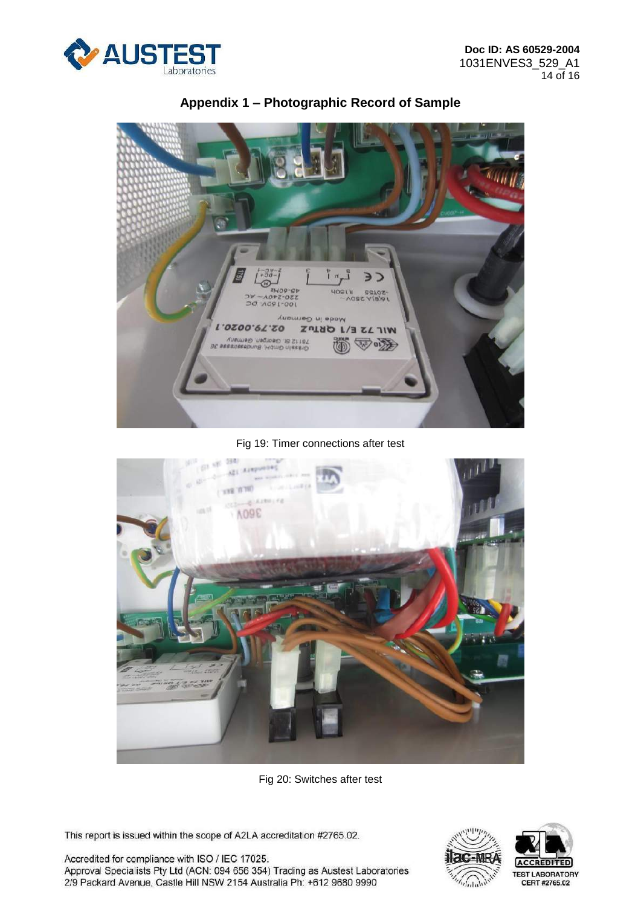



Fig 19: Timer connections after test



Fig 20: Switches after test

This report is issued within the scope of A2LA accreditation #2765.02.

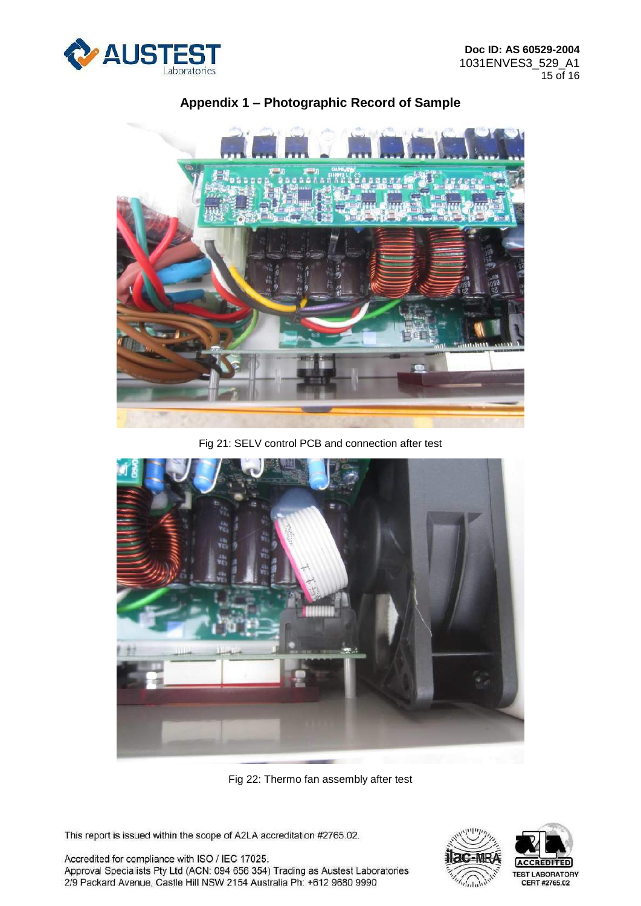



Fig 21: SELV control PCB and connection after test



Fig 22: Thermo fan assembly after test

This report is issued within the scope of A2LA accreditation #2765.02.